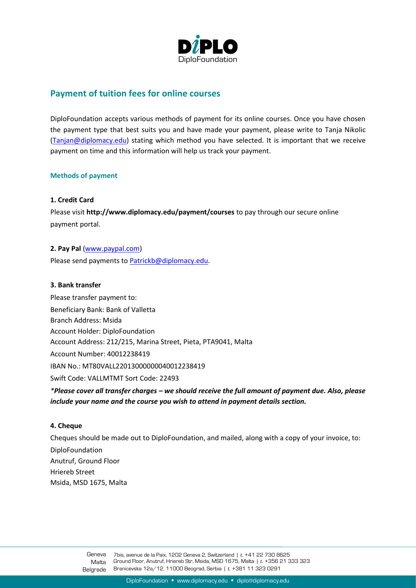

# **Payment of tuition fees for online courses**

DiploFoundation accepts various methods of payment for its online courses. Once you have chosen the payment type that best suits you and have made your payment, please write to Tanja Nikolic [\(Tanjan@diplomacy.edu\)](mailto:Tanjan@diplomacy.edu) stating which method you have selected. It is important that we receive payment on time and this information will help us track your payment.

#### **Methods of payment**

## **1. Credit Card**

Please visit **http://www.diplomacy.edu/payment/courses** to pay through our secure online payment portal.

**2. Pay Pal** [\(www.paypal.com\)](http://www.paypal.com/)

Please send payments t[o Patrickb@diplomacy.edu.](mailto:Patrickb@diplomacy.edu)

#### **3. Bank transfer**

Please transfer payment to: Beneficiary Bank: Bank of Valletta Branch Address: Msida Account Holder: DiploFoundation Account Address: 212/215, Marina Street, Pieta, PTA9041, Malta Account Number: 40012238419 IBAN No.: MT80VALL22013000000040012238419 Swift Code: VALLMTMT Sort Code: 22493 *\*Please cover all transfer charges – we should receive the full amount of payment due. Also, please include your name and the course you wish to attend in payment details section.*

#### **4. Cheque**

Cheques should be made out to DiploFoundation, and mailed, along with a copy of your invoice, to:

DiploFoundation Anutruf, Ground Floor Hriereb Street Msida, MSD 1675, Malta